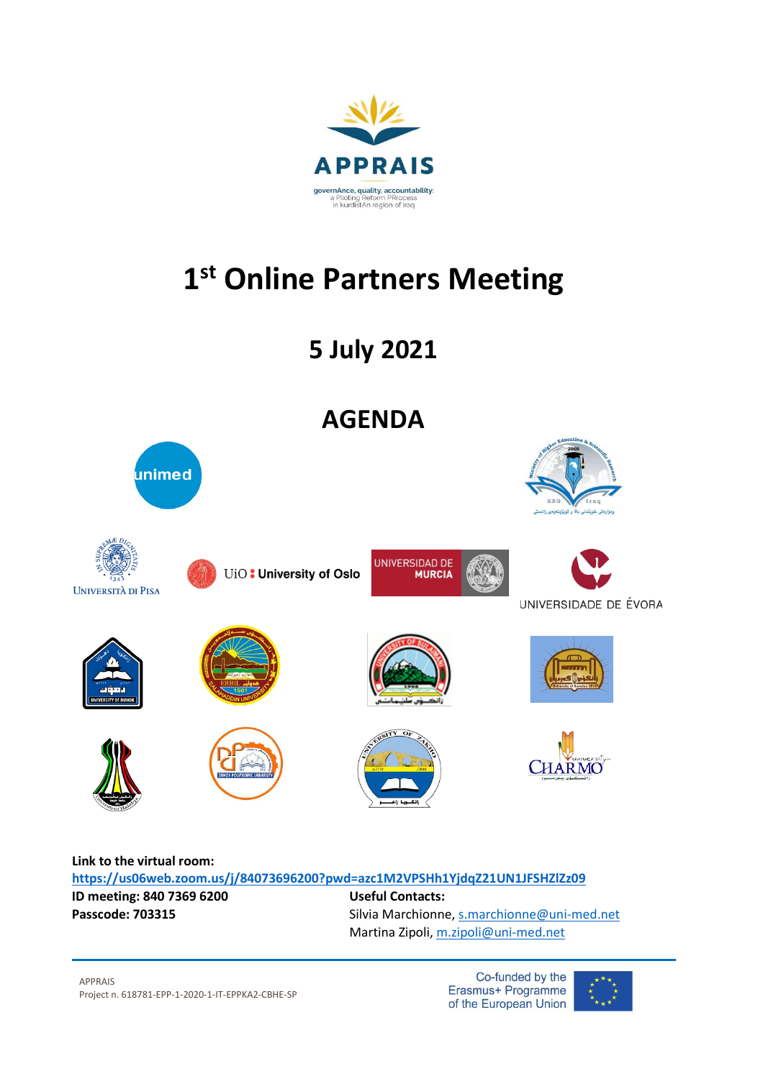

## **1 st Online Partners Meeting**

**5 July 2021**



## **Link to the virtual room: <https://us06web.zoom.us/j/84073696200?pwd=azc1M2VPSHh1YjdqZ21UN1JFSHZlZz09> ID meeting: 840 7369 6200 Useful Contacts:** Passcode: 703315 Silvia Marchionne, [s.marchionne@uni-med.net](mailto:s.marchionne@uni-med.net)

Martina Zipoli, [m.zipoli@uni-med.net](mailto:m.zipoli@uni-med.net)

Co-funded by the Erasmus+ Programme of the European Union

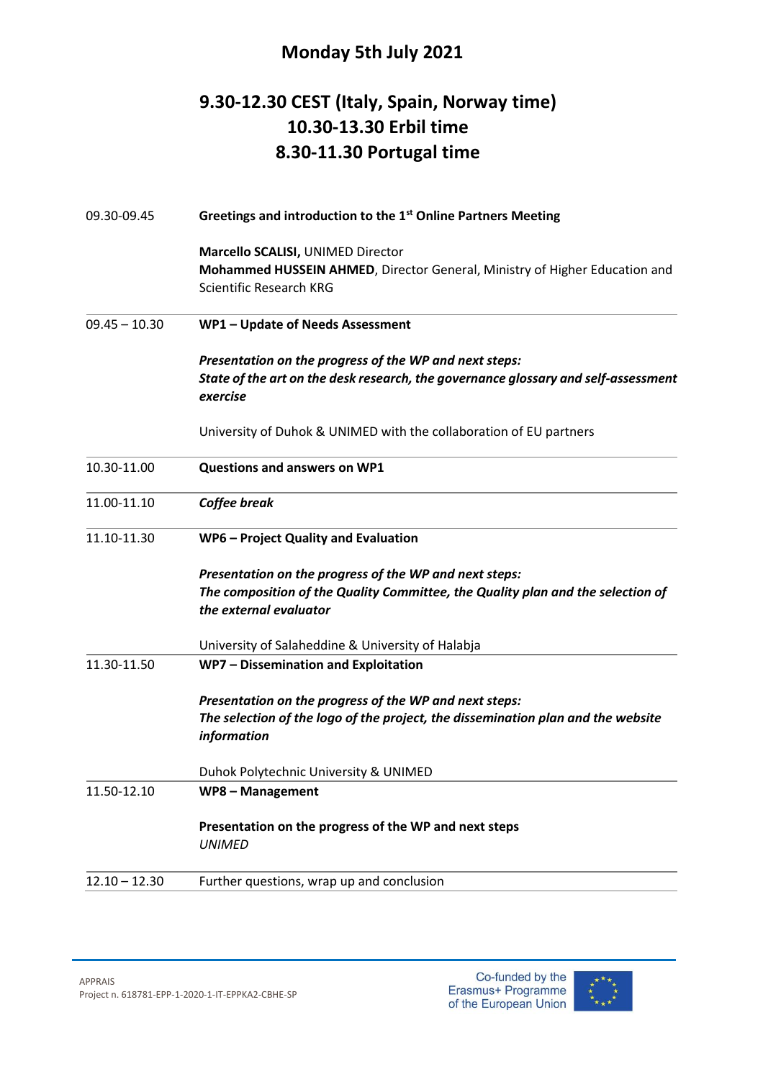## **Monday 5th July 2021**

## **9.30-12.30 CEST (Italy, Spain, Norway time) 10.30-13.30 Erbil time 8.30-11.30 Portugal time**

| 09.30-09.45     | Greetings and introduction to the 1 <sup>st</sup> Online Partners Meeting                       |
|-----------------|-------------------------------------------------------------------------------------------------|
|                 | Marcello SCALISI, UNIMED Director                                                               |
|                 | Mohammed HUSSEIN AHMED, Director General, Ministry of Higher Education and                      |
|                 | Scientific Research KRG                                                                         |
| $09.45 - 10.30$ | WP1 - Update of Needs Assessment                                                                |
|                 | Presentation on the progress of the WP and next steps:                                          |
|                 | State of the art on the desk research, the governance glossary and self-assessment<br>exercise  |
|                 | University of Duhok & UNIMED with the collaboration of EU partners                              |
| 10.30-11.00     | <b>Questions and answers on WP1</b>                                                             |
| 11.00-11.10     | Coffee break                                                                                    |
| 11.10-11.30     | WP6 - Project Quality and Evaluation                                                            |
|                 | Presentation on the progress of the WP and next steps:                                          |
|                 | The composition of the Quality Committee, the Quality plan and the selection of                 |
|                 | the external evaluator                                                                          |
|                 | University of Salaheddine & University of Halabja                                               |
| 11.30-11.50     | WP7 - Dissemination and Exploitation                                                            |
|                 | Presentation on the progress of the WP and next steps:                                          |
|                 | The selection of the logo of the project, the dissemination plan and the website<br>information |
|                 | Duhok Polytechnic University & UNIMED                                                           |
| 11.50-12.10     | WP8 - Management                                                                                |
|                 | Presentation on the progress of the WP and next steps<br><b>UNIMED</b>                          |
| $12.10 - 12.30$ | Further questions, wrap up and conclusion                                                       |
|                 |                                                                                                 |